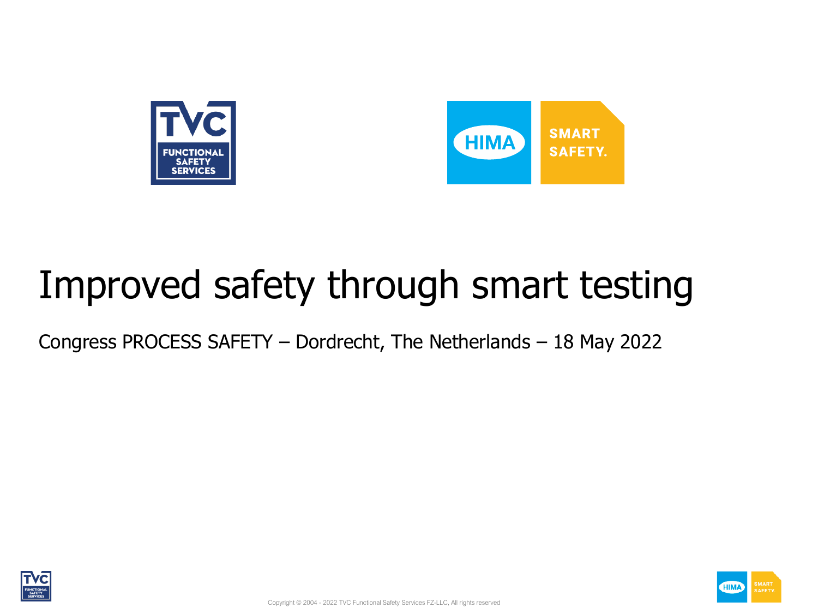



## Improved safety through smart testing

Congress PROCESS SAFETY – Dordrecht, The Netherlands – 18 May 2022



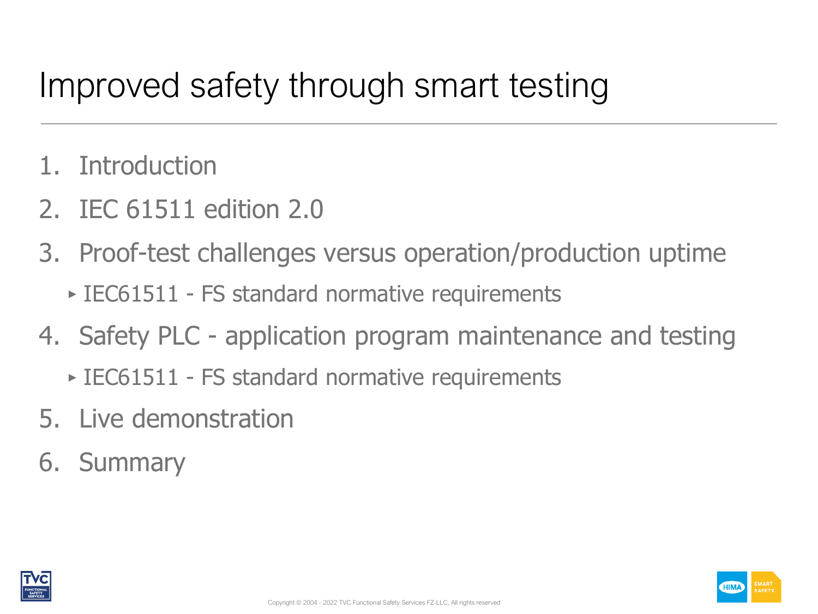### Improved safety through smart testing

- 1. Introduction
- 2. IEC 61511 edition 2.0
- 3. Proof-test challenges versus operation/production uptime
	- ‣ IEC61511 FS standard normative requirements
- 4. Safety PLC application program maintenance and testing
	- ‣ IEC61511 FS standard normative requirements
- 5. Live demonstration
- 6. Summary

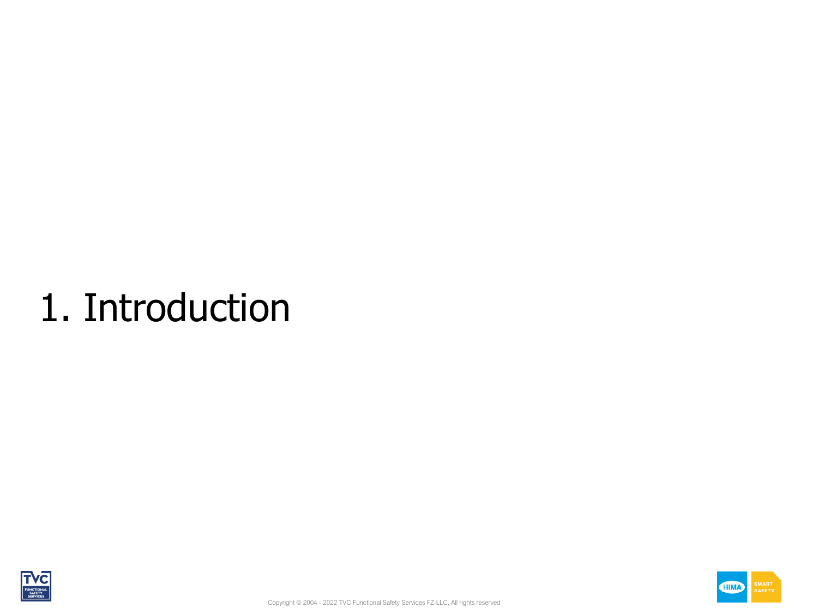# 1. Introduction



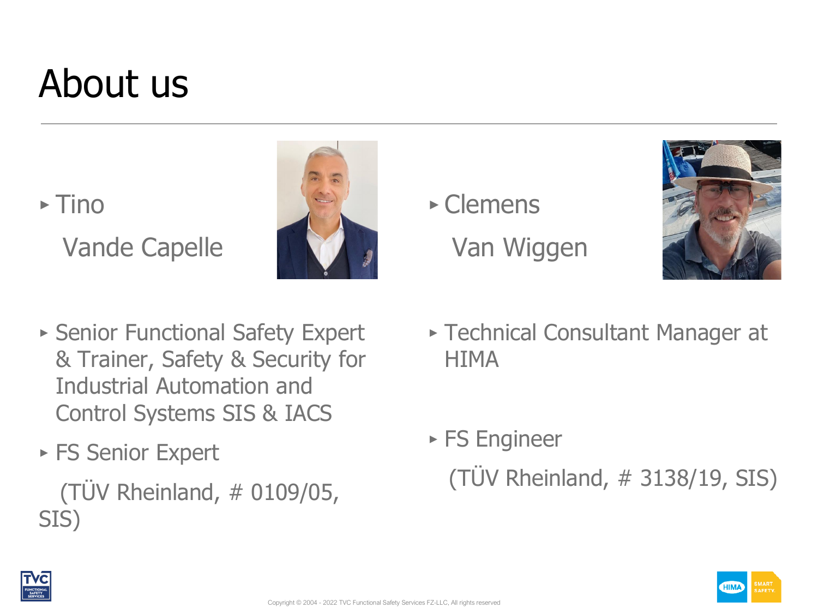## About us

 $\triangleright$  Tino



‣ Clemens Van Wiggen



- ‣ Senior Functional Safety Expert & Trainer, Safety & Security for Industrial Automation and Control Systems SIS & IACS
- ► FS Senior Expert

Vande Capelle

(TÜV Rheinland, # 0109/05, SIS)

- ‣ Technical Consultant Manager at **HIMA**
- ‣ FS Engineer (TÜV Rheinland, # 3138/19, SIS)

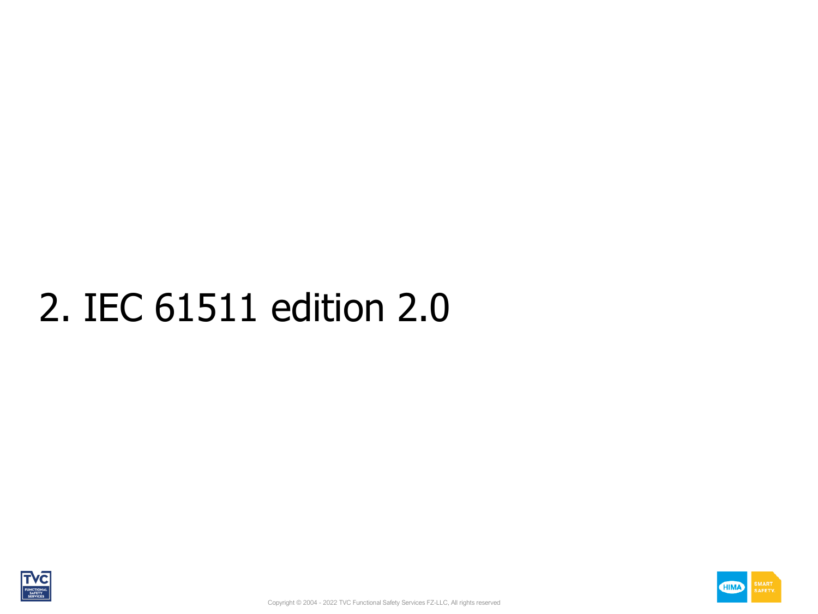# 2. IEC 61511 edition 2.0



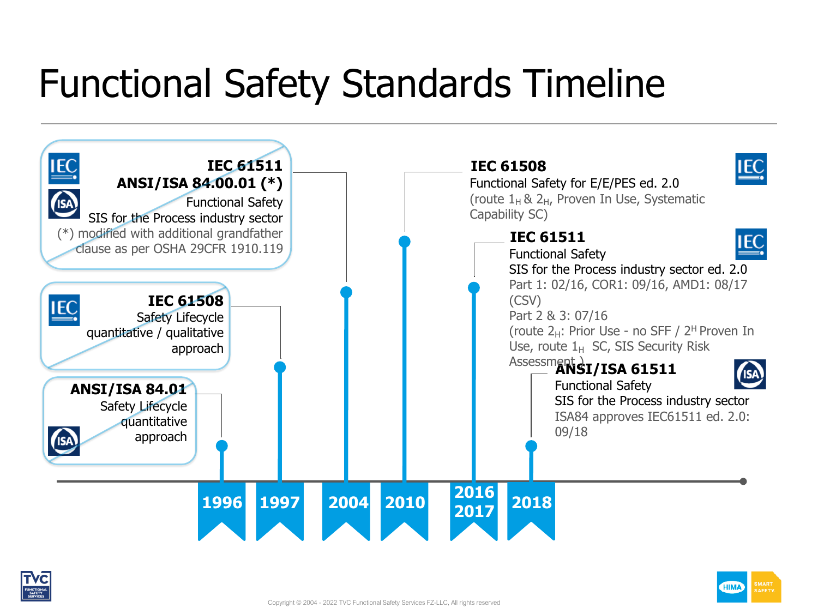## Functional Safety Standards Timeline



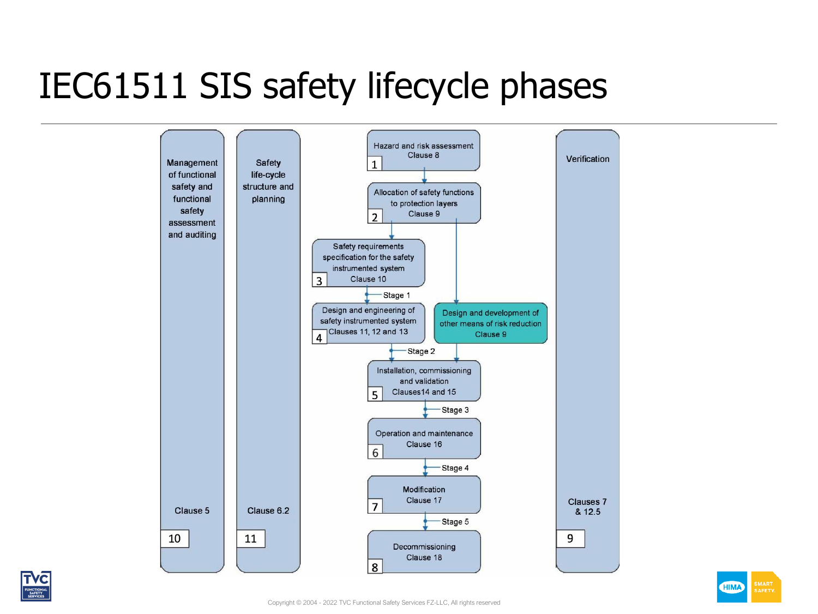### IEC61511 SIS safety lifecycle phases



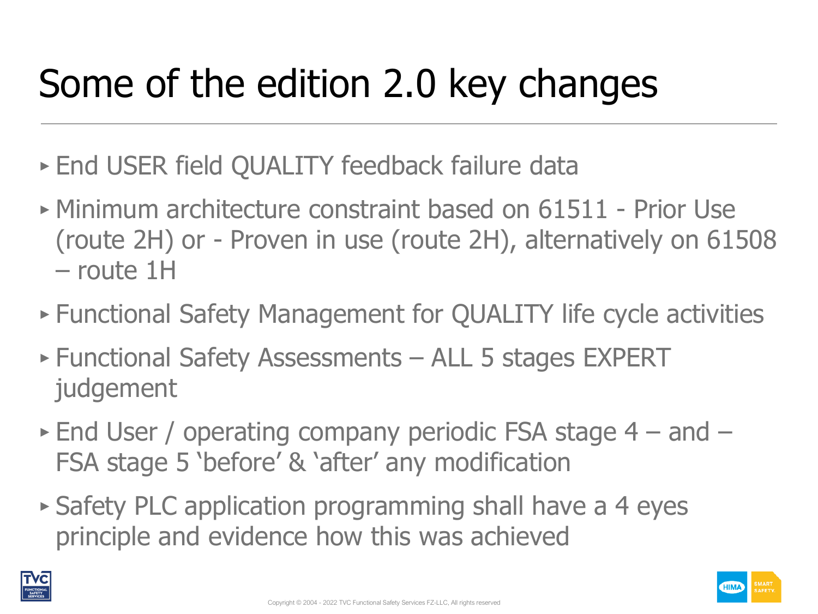# Some of the edition 2.0 key changes

- ‣ End USER field QUALITY feedback failure data
- ‣ Minimum architecture constraint based on 61511 Prior Use (route 2H) or - Proven in use (route 2H), alternatively on 61508 – route 1H
- ‣ Functional Safety Management for QUALITY life cycle activities
- ‣ Functional Safety Assessments ALL 5 stages EXPERT judgement
- $\triangleright$  End User / operating company periodic FSA stage 4 and FSA stage 5 'before' & 'after' any modification
- ‣ Safety PLC application programming shall have a 4 eyes principle and evidence how this was achieved

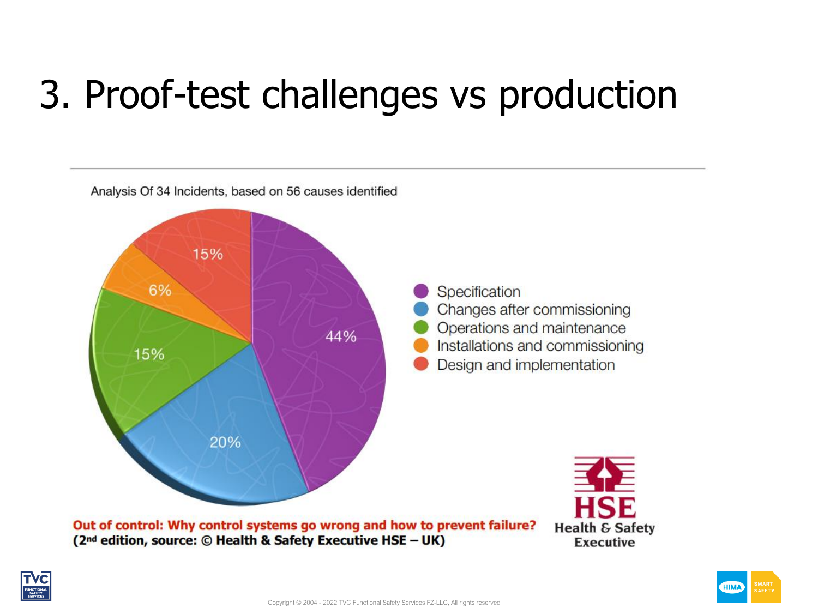## 3. Proof-test challenges vs production



Out of control: Why control systems go wrong and how to prevent failure? (2<sup>nd</sup> edition, source: © Health & Safety Executive HSE - UK)



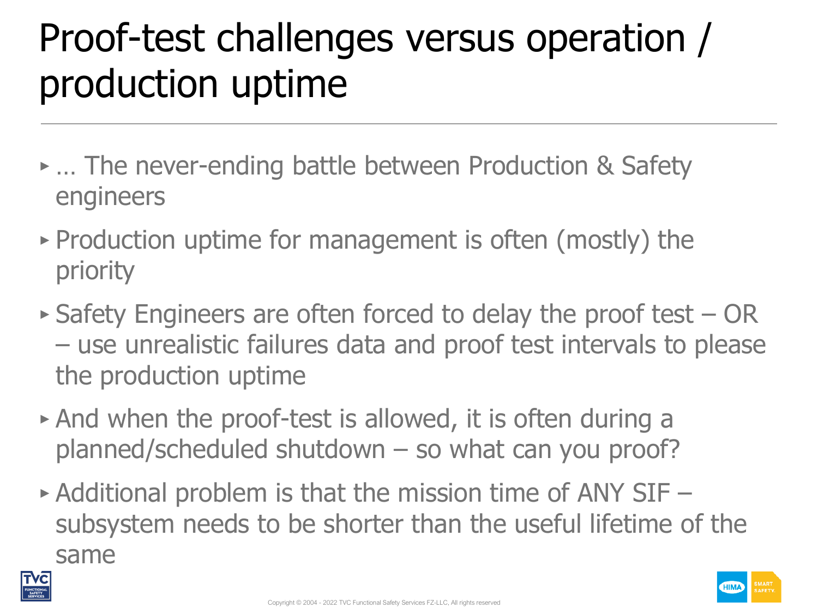# Proof-test challenges versus operation / production uptime

- ‣ … The never-ending battle between Production & Safety engineers
- ‣ Production uptime for management is often (mostly) the priority
- ‣ Safety Engineers are often forced to delay the proof test OR – use unrealistic failures data and proof test intervals to please the production uptime
- ‣ And when the proof-test is allowed, it is often during a planned/scheduled shutdown – so what can you proof?
- $\triangleright$  Additional problem is that the mission time of ANY SIF  $$ subsystem needs to be shorter than the useful lifetime of the same



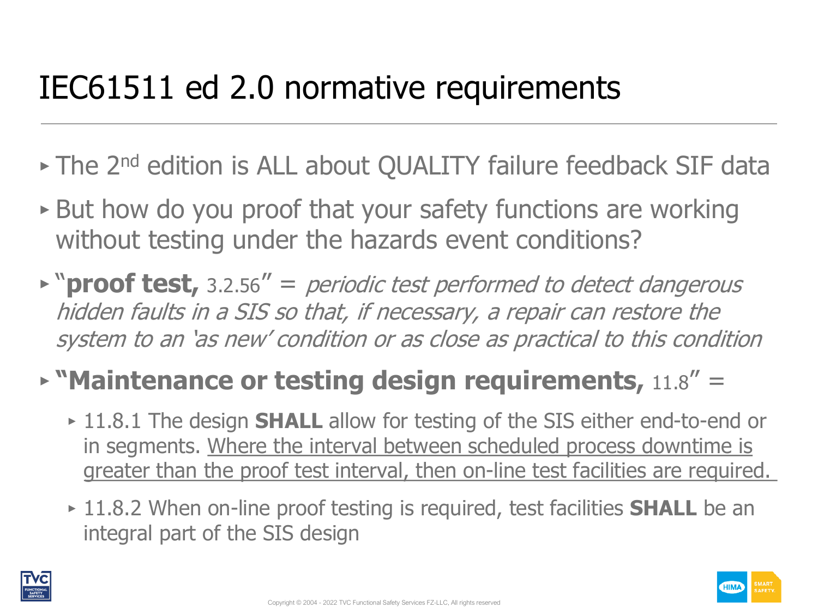### IEC61511 ed 2.0 normative requirements

- The 2<sup>nd</sup> edition is ALL about QUALITY failure feedback SIF data
- ‣ But how do you proof that your safety functions are working without testing under the hazards event conditions?
- ‣ "**proof test,** 3.2.56" = periodic test performed to detect dangerous hidden faults in a SIS so that, if necessary, a repair can restore the system to an 'as new' condition or as close as practical to this condition

#### ‣ **"Maintenance or testing design requirements,** 11.8" =

- ‣ 11.8.1 The design **SHALL** allow for testing of the SIS either end-to-end or in segments. Where the interval between scheduled process downtime is greater than the proof test interval, then on-line test facilities are required.
- ‣ 11.8.2 When on-line proof testing is required, test facilities **SHALL** be an integral part of the SIS design



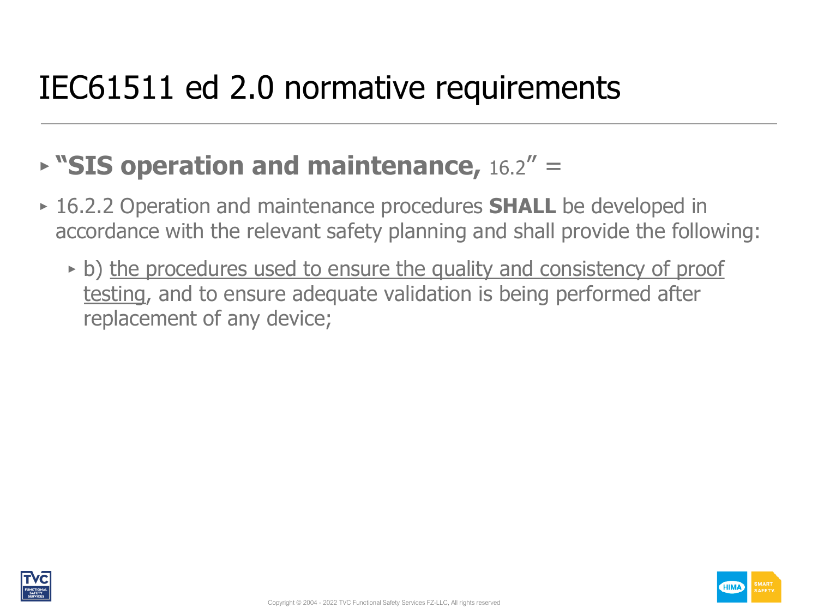### IEC61511 ed 2.0 normative requirements

#### ‣ **"SIS operation and maintenance,** 16.2" =

- ‣ 16.2.2 Operation and maintenance procedures **SHALL** be developed in accordance with the relevant safety planning and shall provide the following:
	- b) the procedures used to ensure the quality and consistency of proof testing, and to ensure adequate validation is being performed after replacement of any device;



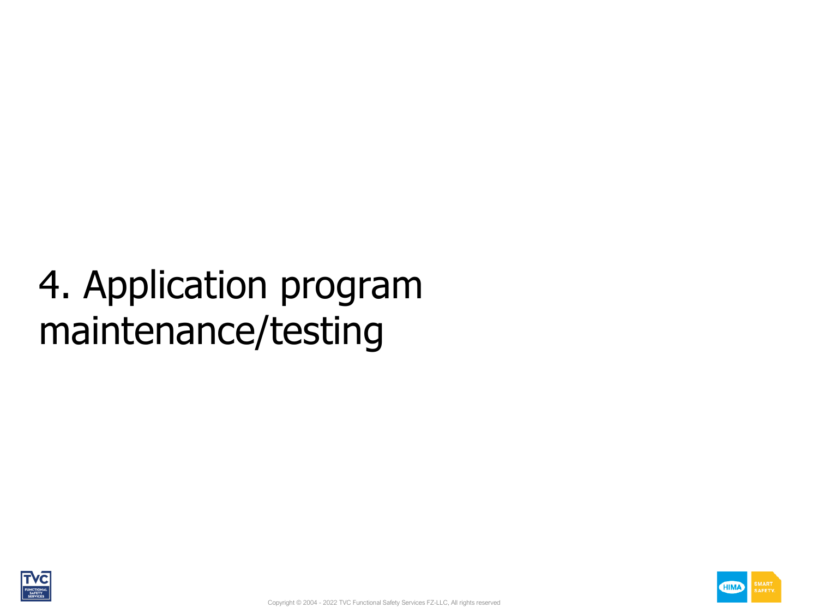# 4. Application program maintenance/testing



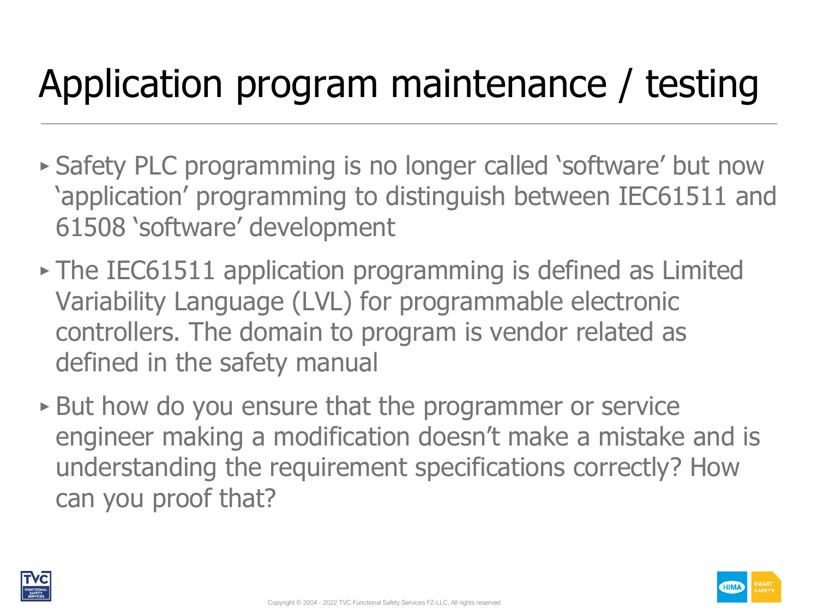## Application program maintenance / testing

- ‣ Safety PLC programming is no longer called 'software' but now 'application' programming to distinguish between IEC61511 and 61508 'software' development
- ‣ The IEC61511 application programming is defined as Limited Variability Language (LVL) for programmable electronic controllers. The domain to program is vendor related as defined in the safety manual
- ‣ But how do you ensure that the programmer or service engineer making a modification doesn't make a mistake and is understanding the requirement specifications correctly? How can you proof that?

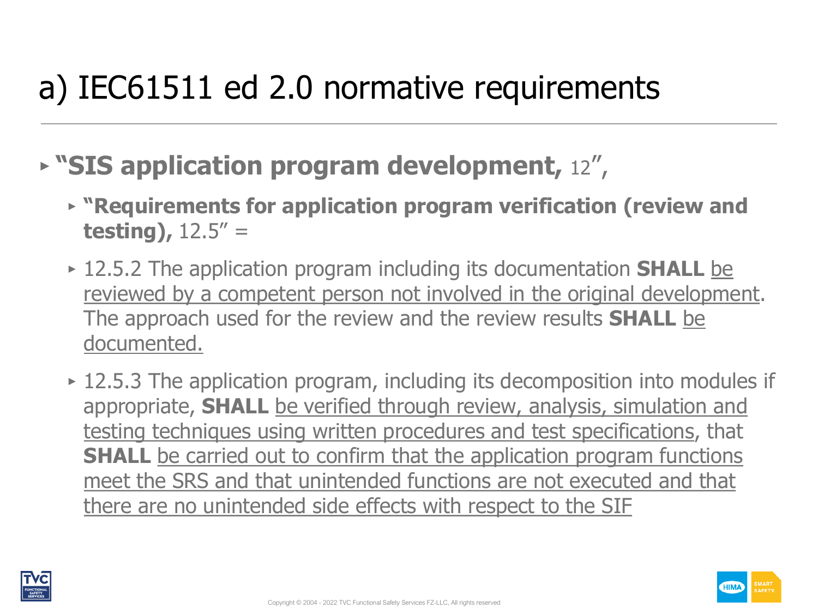### a) IEC61511 ed 2.0 normative requirements

- ‣ **"SIS application program development,** 12",
	- ‣ **"Requirements for application program verification (review and testing),** 12.5" =
	- ‣ 12.5.2 The application program including its documentation **SHALL** be reviewed by a competent person not involved in the original development. The approach used for the review and the review results **SHALL** be documented.
	- 12.5.3 The application program, including its decomposition into modules if appropriate, **SHALL** be verified through review, analysis, simulation and testing techniques using written procedures and test specifications, that **SHALL** be carried out to confirm that the application program functions meet the SRS and that unintended functions are not executed and that there are no unintended side effects with respect to the SIF



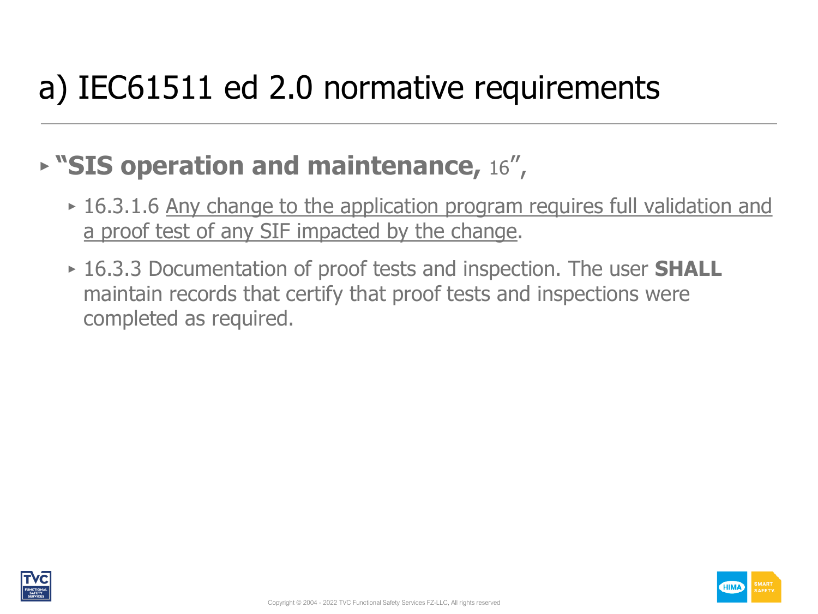### a) IEC61511 ed 2.0 normative requirements

#### ‣ **"SIS operation and maintenance,** 16",

- 16.3.1.6 Any change to the application program requires full validation and a proof test of any SIF impacted by the change.
- ‣ 16.3.3 Documentation of proof tests and inspection. The user **SHALL** maintain records that certify that proof tests and inspections were completed as required.



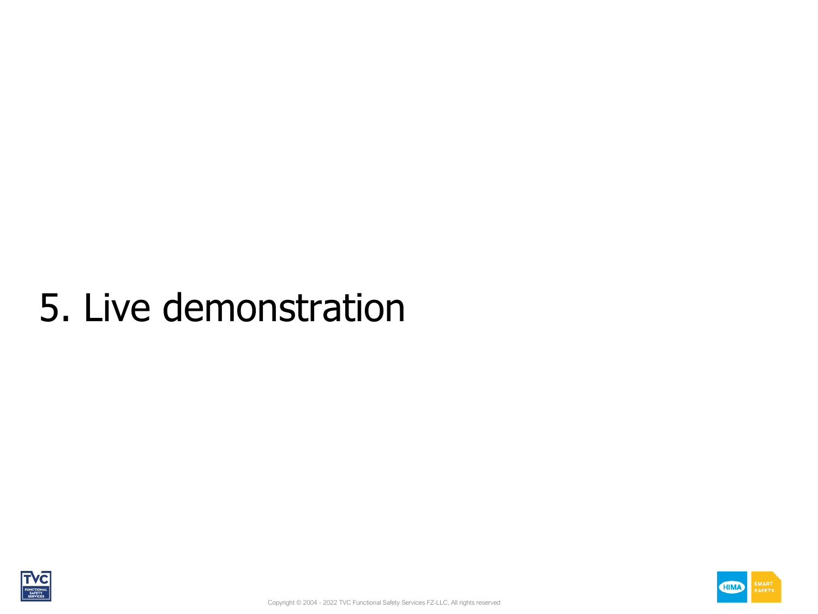### 5. Live demonstration